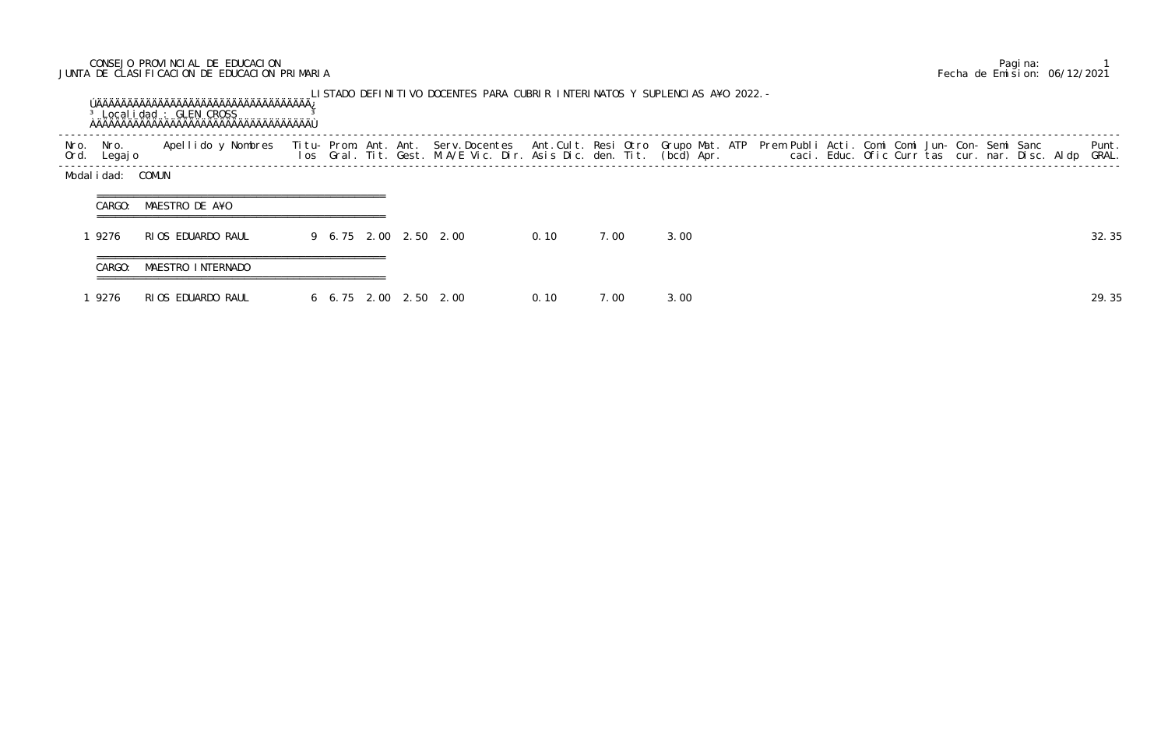## CONSEJO PROVINCIAL DE EDUCACION Pagina: 1 JUNTA DE CLASIFICACION DE EDUCACION PRIMARIA Fecha de Emision: 06/12/2021

|              |                  | <sup>3</sup> Localidad : GLEN CROSS |  |  | LISTADO DEFINITIVO DOCENTES PARA CUBRIR INTERINATOS Y SUPLENCIAS A¥O 2022. –                                                                                                                                                      |       |      |      |  |  |  |  |  |                |
|--------------|------------------|-------------------------------------|--|--|-----------------------------------------------------------------------------------------------------------------------------------------------------------------------------------------------------------------------------------|-------|------|------|--|--|--|--|--|----------------|
| Nro.<br>Ord. | Nro.<br>Legaj o  | Apellido y Nombres                  |  |  | Titu- Prom. Ant. Ant. Serv.Docentes  Ant.Cult. Resi Otro Grupo Mat. ATP  Prem Publi Acti. Comi Comi Jun- Con- Semi Sanc<br>Ios  Gral. Tit. Gest. M.A/E Vic. Dir. Asis Dic. den. Tit. (bcd) Apr.                caci. Educ. Ofic C |       |      |      |  |  |  |  |  | Punt.<br>GRAL. |
|              | Modalidad: COMUN |                                     |  |  |                                                                                                                                                                                                                                   |       |      |      |  |  |  |  |  |                |
|              | CARGO:           | MAESTRO DE A¥O                      |  |  |                                                                                                                                                                                                                                   |       |      |      |  |  |  |  |  |                |
|              | 9276             | RIOS EDUARDO RAUL                   |  |  | 9 6.75 2.00 2.50 2.00                                                                                                                                                                                                             | 0.10  | 7.00 | 3.00 |  |  |  |  |  | 32.35          |
|              | CARGO:           | MAESTRO INTERNADO                   |  |  |                                                                                                                                                                                                                                   |       |      |      |  |  |  |  |  |                |
|              | 9276             | RIOS EDUARDO RAUL                   |  |  | 6 6.75 2.00 2.50 2.00                                                                                                                                                                                                             | 0. 10 | 7.00 | 3.00 |  |  |  |  |  | 29.35          |

UPLENCIAS A¥O 2022.-